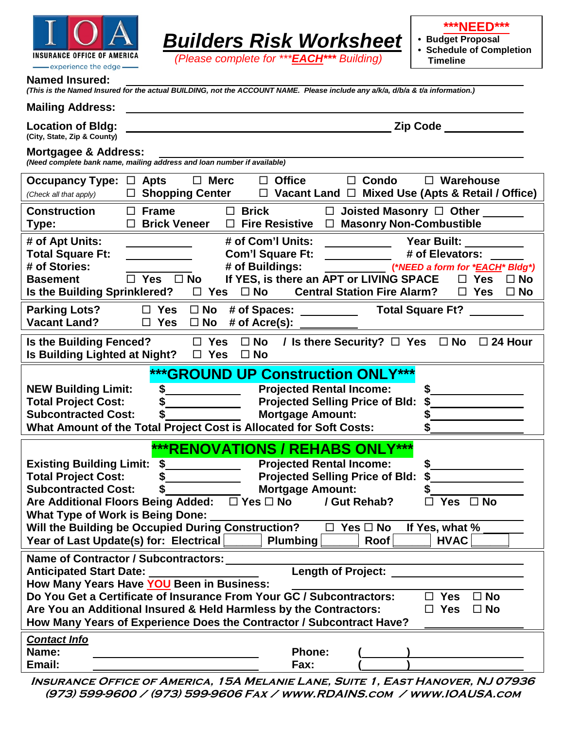

|  | -experience the edge- |  |
|--|-----------------------|--|
|--|-----------------------|--|

**\*\*\*NEED\*\*\***

**• Budget Proposal**

**• Schedule of Completion Timeline**

## **Named Insured:**

| сч почг<br>(This is the Named Insured for the actual BUILDING, not the ACCOUNT NAME. Please include any a/k/a, d/b/a & t/a information.)                                                                                                                                                                                                                        |                                                                                                                                                                                                                                                                                 |
|-----------------------------------------------------------------------------------------------------------------------------------------------------------------------------------------------------------------------------------------------------------------------------------------------------------------------------------------------------------------|---------------------------------------------------------------------------------------------------------------------------------------------------------------------------------------------------------------------------------------------------------------------------------|
| <b>Mailing Address:</b>                                                                                                                                                                                                                                                                                                                                         |                                                                                                                                                                                                                                                                                 |
| <b>Location of Bldg:</b><br>(City, State, Zip & County)                                                                                                                                                                                                                                                                                                         | <b>Zip Code</b>                                                                                                                                                                                                                                                                 |
| Mortgagee & Address:<br>(Need complete bank name, mailing address and loan number if available)                                                                                                                                                                                                                                                                 |                                                                                                                                                                                                                                                                                 |
| <b>Merc</b><br><b>Occupancy Type:</b><br>$\Box$ Apts<br>$\Box$<br>$\Box$ Shopping Center<br>(Check all that apply)                                                                                                                                                                                                                                              | $\Box$ Office<br>$\Box$ Condo<br>$\Box$ Warehouse<br>$\Box$ Vacant Land $\Box$ Mixed Use (Apts & Retail / Office)                                                                                                                                                               |
| $\Box$ Brick<br><b>Construction</b><br>$\Box$ Frame<br>$\Box$ Brick Veneer<br>$\Box$ Fire Resistive<br>Type:                                                                                                                                                                                                                                                    | $\Box$ Joisted Masonry $\Box$ Other<br>$\Box$ Masonry Non-Combustible                                                                                                                                                                                                           |
| # of Com'l Units:<br># of Apt Units:<br><b>Total Square Ft:</b><br><b>Com'l Square Ft:</b><br># of Stories:<br># of Buildings:<br>$\Box$ Yes $\Box$ No<br><b>Basement</b><br>Is the Building Sprinklered?<br>$\Box$ Yes<br>$\square$ No                                                                                                                         | Year Built:<br># of Elevators:<br>(*NEED a form for * <i>EACH</i> * Bldg*)<br>If YES, is there an APT or LIVING SPACE<br>$\Box$ Yes<br>$\Box$ No<br><b>Central Station Fire Alarm?</b><br>$\Box$ Yes<br>$\square$ No                                                            |
| $\square$ No<br><b>Parking Lots?</b><br>$\square$ Yes<br><b>Vacant Land?</b><br>$\square$ No<br># of $Accre(s)$ :<br>$\Box$ Yes                                                                                                                                                                                                                                 | # of Spaces: __________<br><b>Total Square Ft?</b>                                                                                                                                                                                                                              |
| Is the Building Fenced?<br>Is Building Lighted at Night?<br>$\Box$ Yes $\Box$ No                                                                                                                                                                                                                                                                                | $\Box$ Yes $\Box$ No / Is there Security? $\Box$ Yes $\Box$ No $\Box$ 24 Hour                                                                                                                                                                                                   |
| \$<br><b>NEW Building Limit:</b><br><b>Total Project Cost:</b><br><b>Subcontracted Cost:</b><br>What Amount of the Total Project Cost is Allocated for Soft Costs:                                                                                                                                                                                              | ***GROUND UP Construction ONLY***<br><b>Projected Rental Income:</b><br><b>Projected Selling Price of Bld:</b><br><b>Mortgage Amount:</b>                                                                                                                                       |
| <b>Existing Building Limit:</b><br>\$<br><b>Total Project Cost:</b><br><b>Subcontracted Cost:</b><br>Are Additional Floors Being Added: □ Yes □ No<br><b>What Type of Work is Being Done:</b><br>Will the Building be Occupied During Construction?<br>Year of Last Update(s) for: Electrical                                                                   | ***RENOVATIONS / REHABS ONLY***<br><b>Projected Rental Income:</b><br><b>Projected Selling Price of Bld:</b><br>\$<br><b>Mortgage Amount:</b><br>\$<br>/ Gut Rehab?<br>$\Box$ Yes $\Box$ No<br>$\Box$ Yes $\Box$ No<br>If Yes, what %<br><b>HVAC</b><br><b>Plumbing</b><br>Roof |
| Name of Contractor / Subcontractors:<br><b>Anticipated Start Date:</b><br>How Many Years Have YOU Been in Business:<br>Do You Get a Certificate of Insurance From Your GC / Subcontractors:<br>Are You an Additional Insured & Held Harmless by the Contractors:<br>How Many Years of Experience Does the Contractor / Subcontract Have?<br><b>Contact Info</b> | <b>Length of Project:</b><br><b>Yes</b><br>$\square$ No<br>⊔<br>$\Box$ No<br><b>Yes</b><br>LI.                                                                                                                                                                                  |
| Name:                                                                                                                                                                                                                                                                                                                                                           | <b>Phone:</b>                                                                                                                                                                                                                                                                   |

*Builders Risk Worksheet (Please complete for \*\*\*EACH\*\*\* Building)*

 **Insurance Office of America, 15A Melanie Lane, Suite 1, East Hanover, NJ 07936 (973) 599-9600 / (973) 599-9606 Fax / www.RDAINS.com / www.IOAUSA.com**

**Email: Fax: ( )**